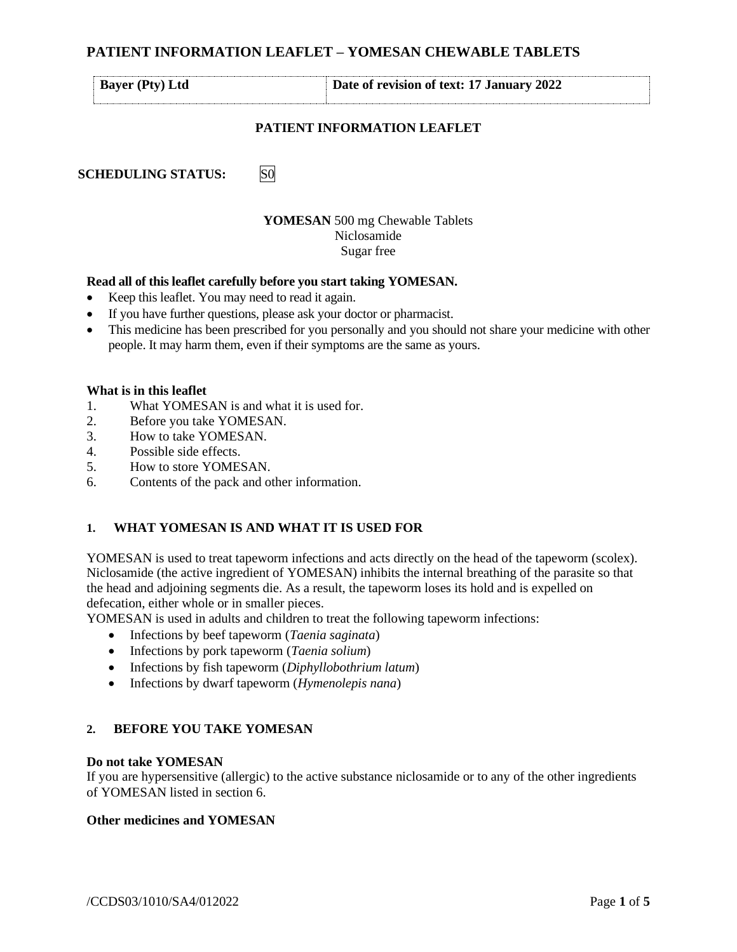| <b>Bayer</b> (Pty) Ltd    | Date of revision of text: 17 January 2022 |
|---------------------------|-------------------------------------------|
|                           | <b>PATIENT INFORMATION LEAFLET</b>        |
| <b>SCHEDULING STATUS:</b> |                                           |

# **YOMESAN** 500 mg Chewable Tablets Niclosamide Sugar free

#### **Read all of this leaflet carefully before you start taking YOMESAN.**

- Keep this leaflet. You may need to read it again.
- If you have further questions, please ask your doctor or pharmacist.
- This medicine has been prescribed for you personally and you should not share your medicine with other people. It may harm them, even if their symptoms are the same as yours.

#### **What is in this leaflet**

- 1. What YOMESAN is and what it is used for.
- 2. Before you take YOMESAN.
- 3. How to take YOMESAN.
- 4. Possible side effects.
- 5. How to store YOMESAN.
- 6. Contents of the pack and other information.

#### **1. WHAT YOMESAN IS AND WHAT IT IS USED FOR**

YOMESAN is used to treat tapeworm infections and acts directly on the head of the tapeworm (scolex). Niclosamide (the active ingredient of YOMESAN) inhibits the internal breathing of the parasite so that the head and adjoining segments die. As a result, the tapeworm loses its hold and is expelled on defecation, either whole or in smaller pieces.

YOMESAN is used in adults and children to treat the following tapeworm infections:

- Infections by beef tapeworm (*Taenia saginata*)
- Infections by pork tapeworm (*Taenia solium*)
- Infections by fish tapeworm (*Diphyllobothrium latum*)
- Infections by dwarf tapeworm (*Hymenolepis nana*)

#### **2. BEFORE YOU TAKE YOMESAN**

#### **Do not take YOMESAN**

If you are hypersensitive (allergic) to the active substance niclosamide or to any of the other ingredients of YOMESAN listed in section 6.

#### **Other medicines and YOMESAN**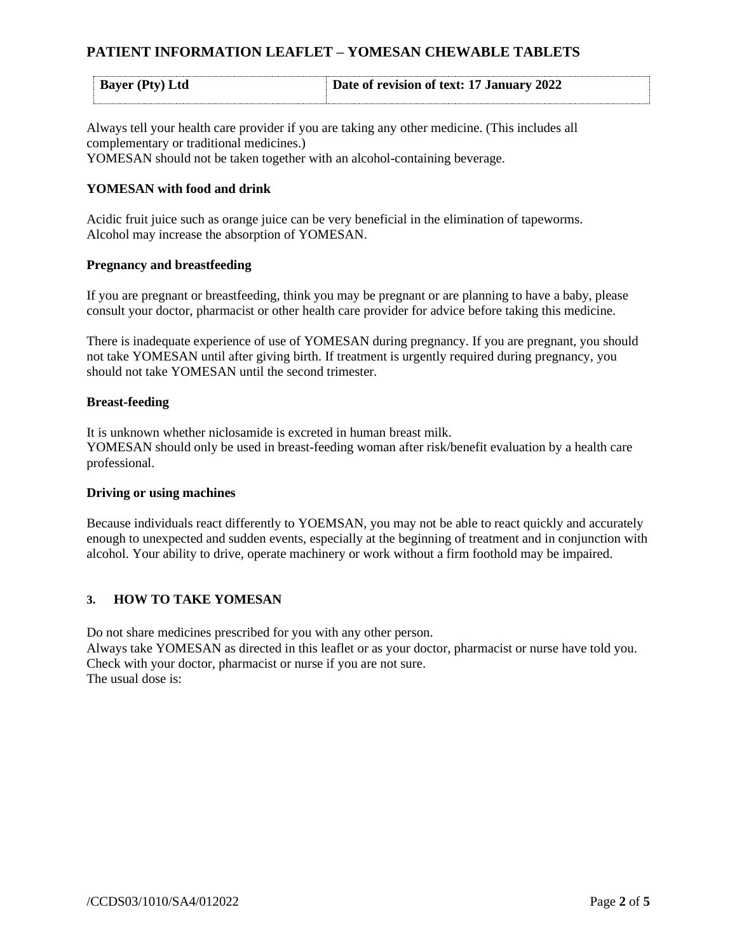| <b>Bayer (Pty) Ltd</b> | Date of revision of text: 17 January 2022 |
|------------------------|-------------------------------------------|
|                        |                                           |

Always tell your health care provider if you are taking any other medicine. (This includes all complementary or traditional medicines.) YOMESAN should not be taken together with an alcohol-containing beverage.

# **YOMESAN with food and drink**

Acidic fruit juice such as orange juice can be very beneficial in the elimination of tapeworms. Alcohol may increase the absorption of YOMESAN.

### **Pregnancy and breastfeeding**

If you are pregnant or breastfeeding, think you may be pregnant or are planning to have a baby, please consult your doctor, pharmacist or other health care provider for advice before taking this medicine.

There is inadequate experience of use of YOMESAN during pregnancy. If you are pregnant, you should not take YOMESAN until after giving birth. If treatment is urgently required during pregnancy, you should not take YOMESAN until the second trimester.

### **Breast-feeding**

It is unknown whether niclosamide is excreted in human breast milk. YOMESAN should only be used in breast-feeding woman after risk/benefit evaluation by a health care professional.

## **Driving or using machines**

Because individuals react differently to YOEMSAN, you may not be able to react quickly and accurately enough to unexpected and sudden events, especially at the beginning of treatment and in conjunction with alcohol. Your ability to drive, operate machinery or work without a firm foothold may be impaired.

## **3. HOW TO TAKE YOMESAN**

Do not share medicines prescribed for you with any other person. Always take YOMESAN as directed in this leaflet or as your doctor, pharmacist or nurse have told you. Check with your doctor, pharmacist or nurse if you are not sure. The usual dose is: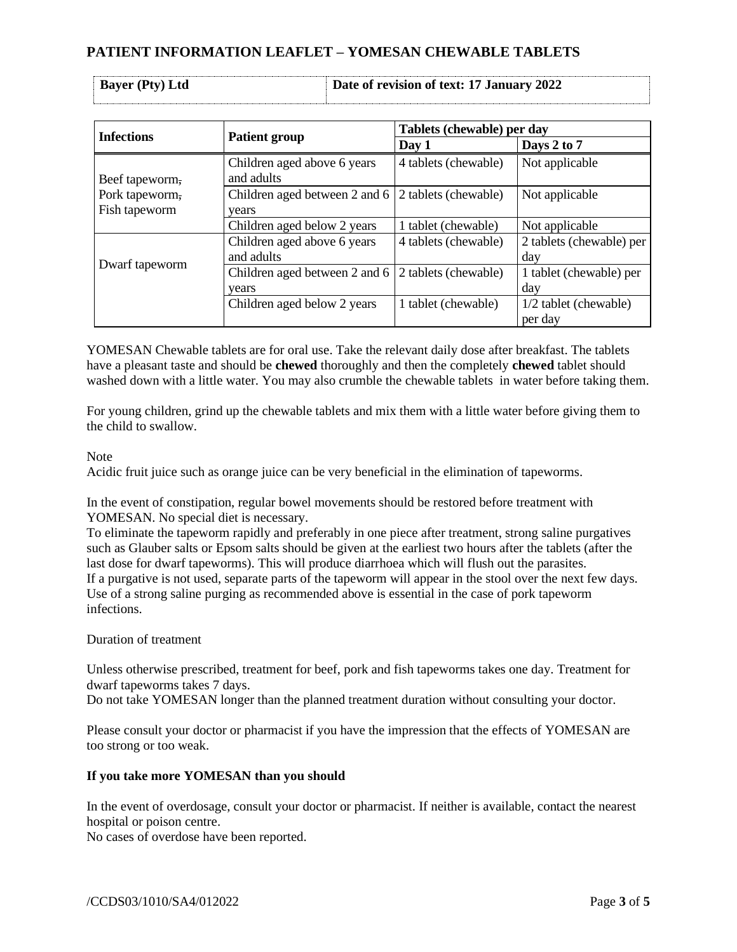| <b>Bayer</b> (Pty) Ltd | Date of revision of text: 17 January 2022 |
|------------------------|-------------------------------------------|

| <b>Infections</b>               |                                           | Tablets (chewable) per day |                                  |
|---------------------------------|-------------------------------------------|----------------------------|----------------------------------|
|                                 | <b>Patient group</b>                      | Day 1                      | Days 2 to 7                      |
| Beef tapeworm,                  | Children aged above 6 years<br>and adults | 4 tablets (chewable)       | Not applicable                   |
| Pork tapeworm,<br>Fish tapeworm | Children aged between 2 and 6<br>vears    | 2 tablets (chewable)       | Not applicable                   |
|                                 | Children aged below 2 years               | 1 tablet (chewable)        | Not applicable                   |
| Dwarf tapeworm                  | Children aged above 6 years<br>and adults | 4 tablets (chewable)       | 2 tablets (chewable) per<br>day  |
|                                 | Children aged between 2 and 6<br>years    | 2 tablets (chewable)       | 1 tablet (chewable) per<br>day   |
|                                 | Children aged below 2 years               | 1 tablet (chewable)        | 1/2 tablet (chewable)<br>per day |

YOMESAN Chewable tablets are for oral use. Take the relevant daily dose after breakfast. The tablets have a pleasant taste and should be **chewed** thoroughly and then the completely **chewed** tablet should washed down with a little water. You may also crumble the chewable tablets in water before taking them.

For young children, grind up the chewable tablets and mix them with a little water before giving them to the child to swallow.

## Note

Acidic fruit juice such as orange juice can be very beneficial in the elimination of tapeworms.

In the event of constipation, regular bowel movements should be restored before treatment with YOMESAN. No special diet is necessary.

To eliminate the tapeworm rapidly and preferably in one piece after treatment, strong saline purgatives such as Glauber salts or Epsom salts should be given at the earliest two hours after the tablets (after the last dose for dwarf tapeworms). This will produce diarrhoea which will flush out the parasites. If a purgative is not used, separate parts of the tapeworm will appear in the stool over the next few days. Use of a strong saline purging as recommended above is essential in the case of pork tapeworm infections.

## Duration of treatment

Unless otherwise prescribed, treatment for beef, pork and fish tapeworms takes one day. Treatment for dwarf tapeworms takes 7 days.

Do not take YOMESAN longer than the planned treatment duration without consulting your doctor.

Please consult your doctor or pharmacist if you have the impression that the effects of YOMESAN are too strong or too weak.

## **If you take more YOMESAN than you should**

In the event of overdosage, consult your doctor or pharmacist. If neither is available, contact the nearest hospital or poison centre.

No cases of overdose have been reported.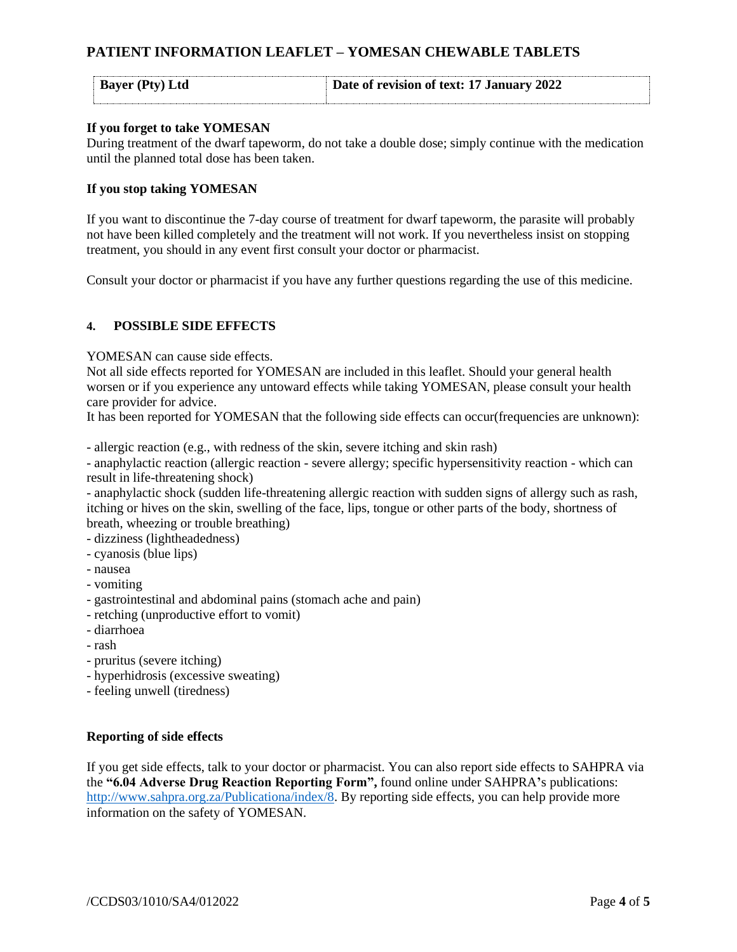| <b>Bayer</b> (Pty) Ltd | Date of revision of text: 17 January 2022 |
|------------------------|-------------------------------------------|
|                        |                                           |

## **If you forget to take YOMESAN**

During treatment of the dwarf tapeworm, do not take a double dose; simply continue with the medication until the planned total dose has been taken.

### **If you stop taking YOMESAN**

If you want to discontinue the 7-day course of treatment for dwarf tapeworm, the parasite will probably not have been killed completely and the treatment will not work. If you nevertheless insist on stopping treatment, you should in any event first consult your doctor or pharmacist.

Consult your doctor or pharmacist if you have any further questions regarding the use of this medicine.

### **4. POSSIBLE SIDE EFFECTS**

YOMESAN can cause side effects.

Not all side effects reported for YOMESAN are included in this leaflet. Should your general health worsen or if you experience any untoward effects while taking YOMESAN, please consult your health care provider for advice.

It has been reported for YOMESAN that the following side effects can occur(frequencies are unknown):

- allergic reaction (e.g., with redness of the skin, severe itching and skin rash)

- anaphylactic reaction (allergic reaction - severe allergy; specific hypersensitivity reaction - which can result in life-threatening shock)

- anaphylactic shock (sudden life-threatening allergic reaction with sudden signs of allergy such as rash, itching or hives on the skin, swelling of the face, lips, tongue or other parts of the body, shortness of breath, wheezing or trouble breathing)

- dizziness (lightheadedness)
- cyanosis (blue lips)
- nausea
- vomiting
- gastrointestinal and abdominal pains (stomach ache and pain)
- retching (unproductive effort to vomit)
- diarrhoea
- rash
- pruritus (severe itching)
- hyperhidrosis (excessive sweating)
- feeling unwell (tiredness)

#### **Reporting of side effects**

If you get side effects, talk to your doctor or pharmacist. You can also report side effects to SAHPRA via the **"6.04 Adverse Drug Reaction Reporting Form",** found online under SAHPRA**'**s publications: [http://www.sahpra.org.za/Publicationa/index/8.](http://www.sahpra.org.za/Publicationa/index/8) By reporting side effects, you can help provide more information on the safety of YOMESAN.